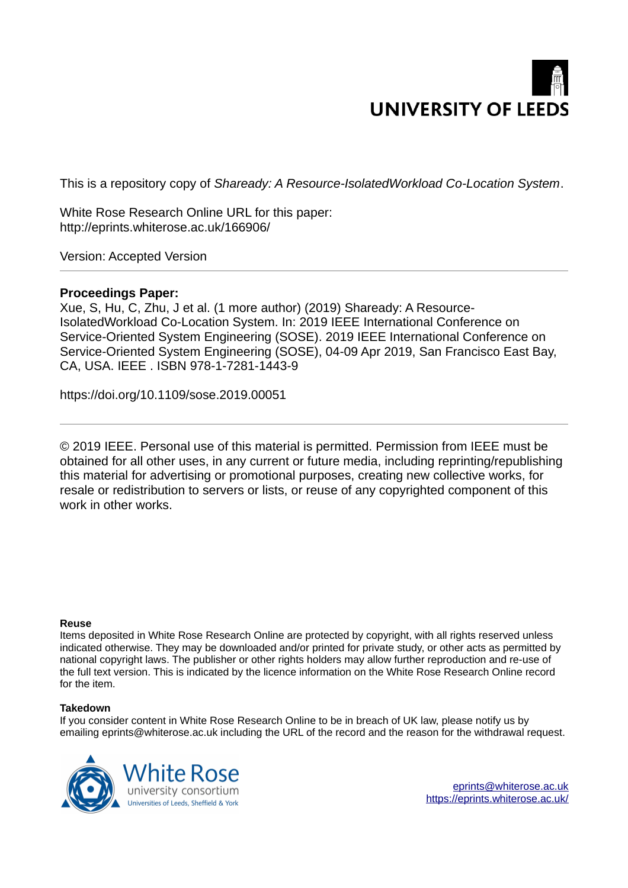# **UNIVERSITY OF LEEDS**

This is a repository copy of *Shaready: A Resource-IsolatedWorkload Co-Location System*.

White Rose Research Online URL for this paper: http://eprints.whiterose.ac.uk/166906/

Version: Accepted Version

# **Proceedings Paper:**

Xue, S, Hu, C, Zhu, J et al. (1 more author) (2019) Shaready: A Resource-IsolatedWorkload Co-Location System. In: 2019 IEEE International Conference on Service-Oriented System Engineering (SOSE). 2019 IEEE International Conference on Service-Oriented System Engineering (SOSE), 04-09 Apr 2019, San Francisco East Bay, CA, USA. IEEE . ISBN 978-1-7281-1443-9

https://doi.org/10.1109/sose.2019.00051

© 2019 IEEE. Personal use of this material is permitted. Permission from IEEE must be obtained for all other uses, in any current or future media, including reprinting/republishing this material for advertising or promotional purposes, creating new collective works, for resale or redistribution to servers or lists, or reuse of any copyrighted component of this work in other works.

# **Reuse**

Items deposited in White Rose Research Online are protected by copyright, with all rights reserved unless indicated otherwise. They may be downloaded and/or printed for private study, or other acts as permitted by national copyright laws. The publisher or other rights holders may allow further reproduction and re-use of the full text version. This is indicated by the licence information on the White Rose Research Online record for the item.

# **Takedown**

If you consider content in White Rose Research Online to be in breach of UK law, please notify us by emailing eprints@whiterose.ac.uk including the URL of the record and the reason for the withdrawal request.

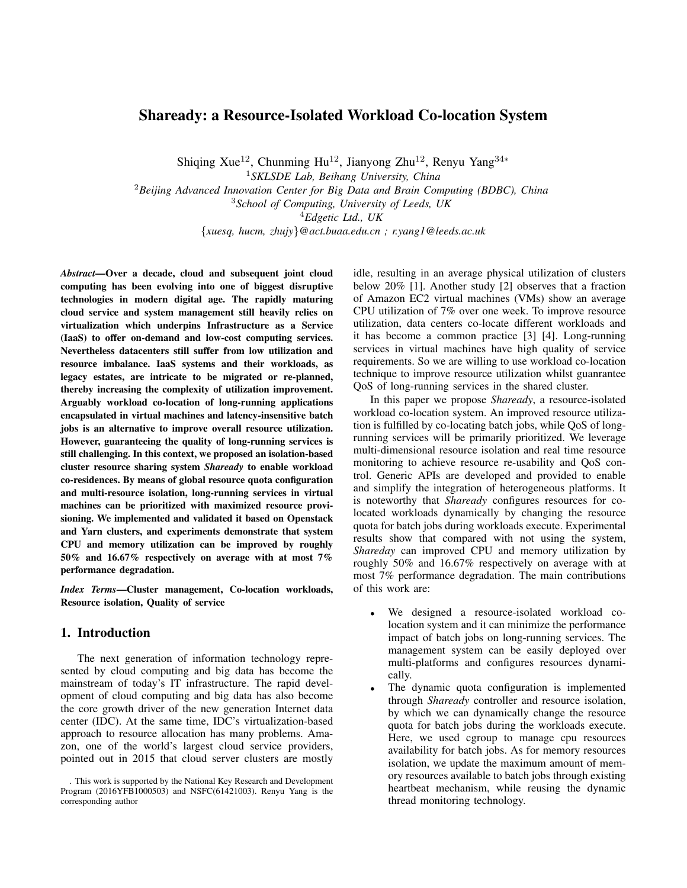# Shaready: a Resource-Isolated Workload Co-location System

Shiqing Xue<sup>12</sup>, Chunming Hu<sup>12</sup>, Jianyong Zhu<sup>12</sup>, Renyu Yang<sup>34∗</sup>

<sup>1</sup>*SKLSDE Lab, Beihang University, China*

<sup>2</sup>*Beijing Advanced Innovation Center for Big Data and Brain Computing (BDBC), China*

<sup>3</sup>*School of Computing, University of Leeds, UK*

<sup>4</sup>*Edgetic Ltd., UK*

{*xuesq, hucm, zhujy*}*@act.buaa.edu.cn ; r.yang1@leeds.ac.uk*

*Abstract*—Over a decade, cloud and subsequent joint cloud computing has been evolving into one of biggest disruptive technologies in modern digital age. The rapidly maturing cloud service and system management still heavily relies on virtualization which underpins Infrastructure as a Service (IaaS) to offer on-demand and low-cost computing services. Nevertheless datacenters still suffer from low utilization and resource imbalance. IaaS systems and their workloads, as legacy estates, are intricate to be migrated or re-planned, thereby increasing the complexity of utilization improvement. Arguably workload co-location of long-running applications encapsulated in virtual machines and latency-insensitive batch jobs is an alternative to improve overall resource utilization. However, guaranteeing the quality of long-running services is still challenging. In this context, we proposed an isolation-based cluster resource sharing system *Shaready* to enable workload co-residences. By means of global resource quota configuration and multi-resource isolation, long-running services in virtual machines can be prioritized with maximized resource provisioning. We implemented and validated it based on Openstack and Yarn clusters, and experiments demonstrate that system CPU and memory utilization can be improved by roughly 50% and 16.67% respectively on average with at most 7% performance degradation.

*Index Terms*—Cluster management, Co-location workloads, Resource isolation, Quality of service

## 1. Introduction

The next generation of information technology represented by cloud computing and big data has become the mainstream of today's IT infrastructure. The rapid development of cloud computing and big data has also become the core growth driver of the new generation Internet data center (IDC). At the same time, IDC's virtualization-based approach to resource allocation has many problems. Amazon, one of the world's largest cloud service providers, pointed out in 2015 that cloud server clusters are mostly idle, resulting in an average physical utilization of clusters below 20% [1]. Another study [2] observes that a fraction of Amazon EC2 virtual machines (VMs) show an average CPU utilization of 7% over one week. To improve resource utilization, data centers co-locate different workloads and it has become a common practice [3] [4]. Long-running services in virtual machines have high quality of service requirements. So we are willing to use workload co-location technique to improve resource utilization whilst guanrantee QoS of long-running services in the shared cluster.

In this paper we propose *Shaready*, a resource-isolated workload co-location system. An improved resource utilization is fulfilled by co-locating batch jobs, while QoS of longrunning services will be primarily prioritized. We leverage multi-dimensional resource isolation and real time resource monitoring to achieve resource re-usability and QoS control. Generic APIs are developed and provided to enable and simplify the integration of heterogeneous platforms. It is noteworthy that *Shaready* configures resources for colocated workloads dynamically by changing the resource quota for batch jobs during workloads execute. Experimental results show that compared with not using the system, *Shareday* can improved CPU and memory utilization by roughly 50% and 16.67% respectively on average with at most 7% performance degradation. The main contributions of this work are:

- We designed a resource-isolated workload colocation system and it can minimize the performance impact of batch jobs on long-running services. The management system can be easily deployed over multi-platforms and configures resources dynamically.
- The dynamic quota configuration is implemented through *Shaready* controller and resource isolation, by which we can dynamically change the resource quota for batch jobs during the workloads execute. Here, we used cgroup to manage cpu resources availability for batch jobs. As for memory resources isolation, we update the maximum amount of memory resources available to batch jobs through existing heartbeat mechanism, while reusing the dynamic thread monitoring technology.

<sup>.</sup> This work is supported by the National Key Research and Development Program (2016YFB1000503) and NSFC(61421003). Renyu Yang is the corresponding author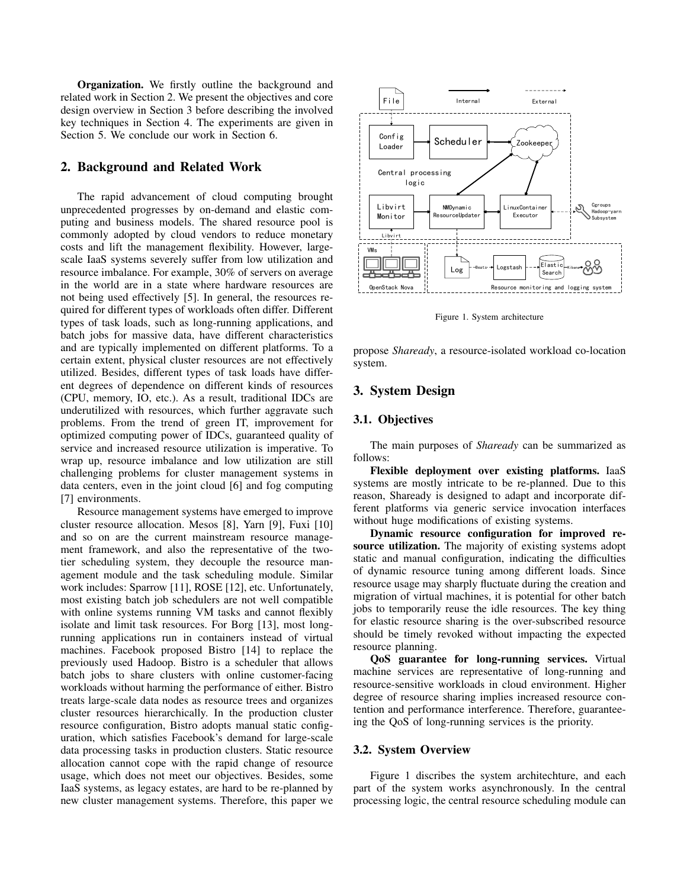Organization. We firstly outline the background and related work in Section 2. We present the objectives and core design overview in Section 3 before describing the involved key techniques in Section 4. The experiments are given in Section 5. We conclude our work in Section 6.

## 2. Background and Related Work

The rapid advancement of cloud computing brought unprecedented progresses by on-demand and elastic computing and business models. The shared resource pool is commonly adopted by cloud vendors to reduce monetary costs and lift the management flexibility. However, largescale IaaS systems severely suffer from low utilization and resource imbalance. For example, 30% of servers on average in the world are in a state where hardware resources are not being used effectively [5]. In general, the resources required for different types of workloads often differ. Different types of task loads, such as long-running applications, and batch jobs for massive data, have different characteristics and are typically implemented on different platforms. To a certain extent, physical cluster resources are not effectively utilized. Besides, different types of task loads have different degrees of dependence on different kinds of resources (CPU, memory, IO, etc.). As a result, traditional IDCs are underutilized with resources, which further aggravate such problems. From the trend of green IT, improvement for optimized computing power of IDCs, guaranteed quality of service and increased resource utilization is imperative. To wrap up, resource imbalance and low utilization are still challenging problems for cluster management systems in data centers, even in the joint cloud [6] and fog computing [7] environments.

Resource management systems have emerged to improve cluster resource allocation. Mesos [8], Yarn [9], Fuxi [10] and so on are the current mainstream resource management framework, and also the representative of the twotier scheduling system, they decouple the resource management module and the task scheduling module. Similar work includes: Sparrow [11], ROSE [12], etc. Unfortunately, most existing batch job schedulers are not well compatible with online systems running VM tasks and cannot flexibly isolate and limit task resources. For Borg [13], most longrunning applications run in containers instead of virtual machines. Facebook proposed Bistro [14] to replace the previously used Hadoop. Bistro is a scheduler that allows batch jobs to share clusters with online customer-facing workloads without harming the performance of either. Bistro treats large-scale data nodes as resource trees and organizes cluster resources hierarchically. In the production cluster resource configuration, Bistro adopts manual static configuration, which satisfies Facebook's demand for large-scale data processing tasks in production clusters. Static resource allocation cannot cope with the rapid change of resource usage, which does not meet our objectives. Besides, some IaaS systems, as legacy estates, are hard to be re-planned by new cluster management systems. Therefore, this paper we



Figure 1. System architecture

propose *Shaready*, a resource-isolated workload co-location system.

## 3. System Design

## 3.1. Objectives

The main purposes of *Shaready* can be summarized as follows:

Flexible deployment over existing platforms. IaaS systems are mostly intricate to be re-planned. Due to this reason, Shaready is designed to adapt and incorporate different platforms via generic service invocation interfaces without huge modifications of existing systems.

Dynamic resource configuration for improved resource utilization. The majority of existing systems adopt static and manual configuration, indicating the difficulties of dynamic resource tuning among different loads. Since resource usage may sharply fluctuate during the creation and migration of virtual machines, it is potential for other batch jobs to temporarily reuse the idle resources. The key thing for elastic resource sharing is the over-subscribed resource should be timely revoked without impacting the expected resource planning.

QoS guarantee for long-running services. Virtual machine services are representative of long-running and resource-sensitive workloads in cloud environment. Higher degree of resource sharing implies increased resource contention and performance interference. Therefore, guaranteeing the QoS of long-running services is the priority.

## 3.2. System Overview

Figure 1 discribes the system architechture, and each part of the system works asynchronously. In the central processing logic, the central resource scheduling module can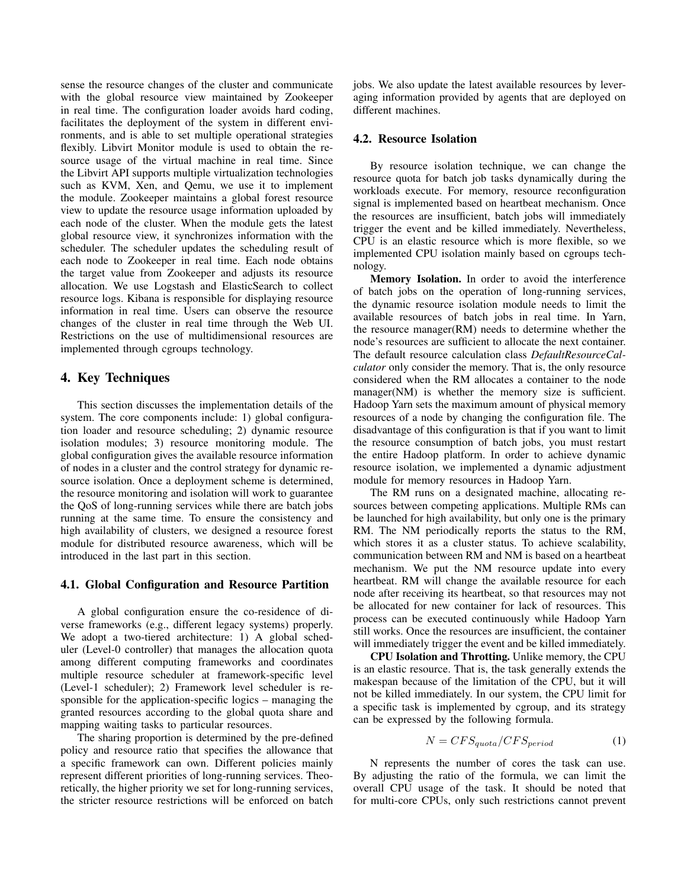sense the resource changes of the cluster and communicate with the global resource view maintained by Zookeeper in real time. The configuration loader avoids hard coding, facilitates the deployment of the system in different environments, and is able to set multiple operational strategies flexibly. Libvirt Monitor module is used to obtain the resource usage of the virtual machine in real time. Since the Libvirt API supports multiple virtualization technologies such as KVM, Xen, and Qemu, we use it to implement the module. Zookeeper maintains a global forest resource view to update the resource usage information uploaded by each node of the cluster. When the module gets the latest global resource view, it synchronizes information with the scheduler. The scheduler updates the scheduling result of each node to Zookeeper in real time. Each node obtains the target value from Zookeeper and adjusts its resource allocation. We use Logstash and ElasticSearch to collect resource logs. Kibana is responsible for displaying resource information in real time. Users can observe the resource changes of the cluster in real time through the Web UI. Restrictions on the use of multidimensional resources are implemented through cgroups technology.

## 4. Key Techniques

This section discusses the implementation details of the system. The core components include: 1) global configuration loader and resource scheduling; 2) dynamic resource isolation modules; 3) resource monitoring module. The global configuration gives the available resource information of nodes in a cluster and the control strategy for dynamic resource isolation. Once a deployment scheme is determined, the resource monitoring and isolation will work to guarantee the QoS of long-running services while there are batch jobs running at the same time. To ensure the consistency and high availability of clusters, we designed a resource forest module for distributed resource awareness, which will be introduced in the last part in this section.

#### 4.1. Global Configuration and Resource Partition

A global configuration ensure the co-residence of diverse frameworks (e.g., different legacy systems) properly. We adopt a two-tiered architecture: 1) A global scheduler (Level-0 controller) that manages the allocation quota among different computing frameworks and coordinates multiple resource scheduler at framework-specific level (Level-1 scheduler); 2) Framework level scheduler is responsible for the application-specific logics – managing the granted resources according to the global quota share and mapping waiting tasks to particular resources.

The sharing proportion is determined by the pre-defined policy and resource ratio that specifies the allowance that a specific framework can own. Different policies mainly represent different priorities of long-running services. Theoretically, the higher priority we set for long-running services, the stricter resource restrictions will be enforced on batch jobs. We also update the latest available resources by leveraging information provided by agents that are deployed on different machines.

## 4.2. Resource Isolation

By resource isolation technique, we can change the resource quota for batch job tasks dynamically during the workloads execute. For memory, resource reconfiguration signal is implemented based on heartbeat mechanism. Once the resources are insufficient, batch jobs will immediately trigger the event and be killed immediately. Nevertheless, CPU is an elastic resource which is more flexible, so we implemented CPU isolation mainly based on cgroups technology.

Memory Isolation. In order to avoid the interference of batch jobs on the operation of long-running services, the dynamic resource isolation module needs to limit the available resources of batch jobs in real time. In Yarn, the resource manager(RM) needs to determine whether the node's resources are sufficient to allocate the next container. The default resource calculation class *DefaultResourceCalculator* only consider the memory. That is, the only resource considered when the RM allocates a container to the node manager(NM) is whether the memory size is sufficient. Hadoop Yarn sets the maximum amount of physical memory resources of a node by changing the configuration file. The disadvantage of this configuration is that if you want to limit the resource consumption of batch jobs, you must restart the entire Hadoop platform. In order to achieve dynamic resource isolation, we implemented a dynamic adjustment module for memory resources in Hadoop Yarn.

The RM runs on a designated machine, allocating resources between competing applications. Multiple RMs can be launched for high availability, but only one is the primary RM. The NM periodically reports the status to the RM, which stores it as a cluster status. To achieve scalability, communication between RM and NM is based on a heartbeat mechanism. We put the NM resource update into every heartbeat. RM will change the available resource for each node after receiving its heartbeat, so that resources may not be allocated for new container for lack of resources. This process can be executed continuously while Hadoop Yarn still works. Once the resources are insufficient, the container will immediately trigger the event and be killed immediately.

CPU Isolation and Throtting. Unlike memory, the CPU is an elastic resource. That is, the task generally extends the makespan because of the limitation of the CPU, but it will not be killed immediately. In our system, the CPU limit for a specific task is implemented by cgroup, and its strategy can be expressed by the following formula.

$$
N = CFS_{quota}/CFS_{period}
$$
 (1)

N represents the number of cores the task can use. By adjusting the ratio of the formula, we can limit the overall CPU usage of the task. It should be noted that for multi-core CPUs, only such restrictions cannot prevent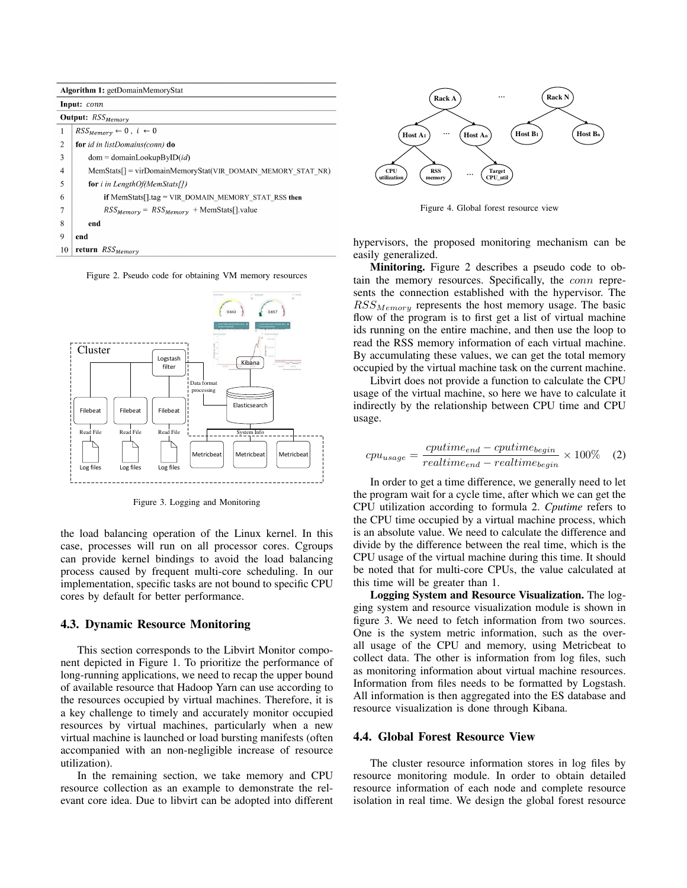| Algorithm 1: getDomainMemoryStat |                                                             |  |  |  |
|----------------------------------|-------------------------------------------------------------|--|--|--|
| Input: conn                      |                                                             |  |  |  |
| Output: RSS <sub>Memory</sub>    |                                                             |  |  |  |
| 1                                | $RSS_{Memory} \leftarrow 0, i \leftarrow 0$                 |  |  |  |
| 2                                | for id in listDomains(conn) do                              |  |  |  |
| 3                                | $dom = domainLookupBvID(id)$                                |  |  |  |
| 4                                | $MemStats$ = virDomainMemoryStat(VIR DOMAIN MEMORY STAT NR) |  |  |  |
| 5                                | <b>for</b> <i>i</i> in LengthOf(MemStats[1)                 |  |  |  |
| 6                                | if $MemStats[]tag = VIR DOMAIN MEMORY STATE RSS then$       |  |  |  |
| 7                                | $RSS_{Memory} = RSS_{Memory} + MemStats[]$ .value           |  |  |  |
| 8                                | end                                                         |  |  |  |
| 9                                | end                                                         |  |  |  |
| 10                               | return $RSS_{Memory}$                                       |  |  |  |

Figure 2. Pseudo code for obtaining VM memory resources



Figure 3. Logging and Monitoring

the load balancing operation of the Linux kernel. In this case, processes will run on all processor cores. Cgroups can provide kernel bindings to avoid the load balancing process caused by frequent multi-core scheduling. In our implementation, specific tasks are not bound to specific CPU cores by default for better performance.

#### 4.3. Dynamic Resource Monitoring

This section corresponds to the Libvirt Monitor component depicted in Figure 1. To prioritize the performance of long-running applications, we need to recap the upper bound of available resource that Hadoop Yarn can use according to the resources occupied by virtual machines. Therefore, it is a key challenge to timely and accurately monitor occupied resources by virtual machines, particularly when a new virtual machine is launched or load bursting manifests (often accompanied with an non-negligible increase of resource utilization).

In the remaining section, we take memory and CPU resource collection as an example to demonstrate the relevant core idea. Due to libvirt can be adopted into different



Figure 4. Global forest resource view

hypervisors, the proposed monitoring mechanism can be easily generalized.

Minitoring. Figure 2 describes a pseudo code to obtain the memory resources. Specifically, the conn represents the connection established with the hypervisor. The  $RSS_{Memory}$  represents the host memory usage. The basic flow of the program is to first get a list of virtual machine ids running on the entire machine, and then use the loop to read the RSS memory information of each virtual machine. By accumulating these values, we can get the total memory occupied by the virtual machine task on the current machine.

Libvirt does not provide a function to calculate the CPU usage of the virtual machine, so here we have to calculate it indirectly by the relationship between CPU time and CPU usage.

$$
cpu_{usage} = \frac{cputime_{end} - cputime_{begin} \times 100\% \quad (2)
$$
  

$$
realtime_{end} - realtime_{begin}
$$

In order to get a time difference, we generally need to let the program wait for a cycle time, after which we can get the CPU utilization according to formula 2. *Cputime* refers to the CPU time occupied by a virtual machine process, which is an absolute value. We need to calculate the difference and divide by the difference between the real time, which is the CPU usage of the virtual machine during this time. It should be noted that for multi-core CPUs, the value calculated at this time will be greater than 1.

Logging System and Resource Visualization. The logging system and resource visualization module is shown in figure 3. We need to fetch information from two sources. One is the system metric information, such as the overall usage of the CPU and memory, using Metricbeat to collect data. The other is information from log files, such as monitoring information about virtual machine resources. Information from files needs to be formatted by Logstash. All information is then aggregated into the ES database and resource visualization is done through Kibana.

#### 4.4. Global Forest Resource View

The cluster resource information stores in log files by resource monitoring module. In order to obtain detailed resource information of each node and complete resource isolation in real time. We design the global forest resource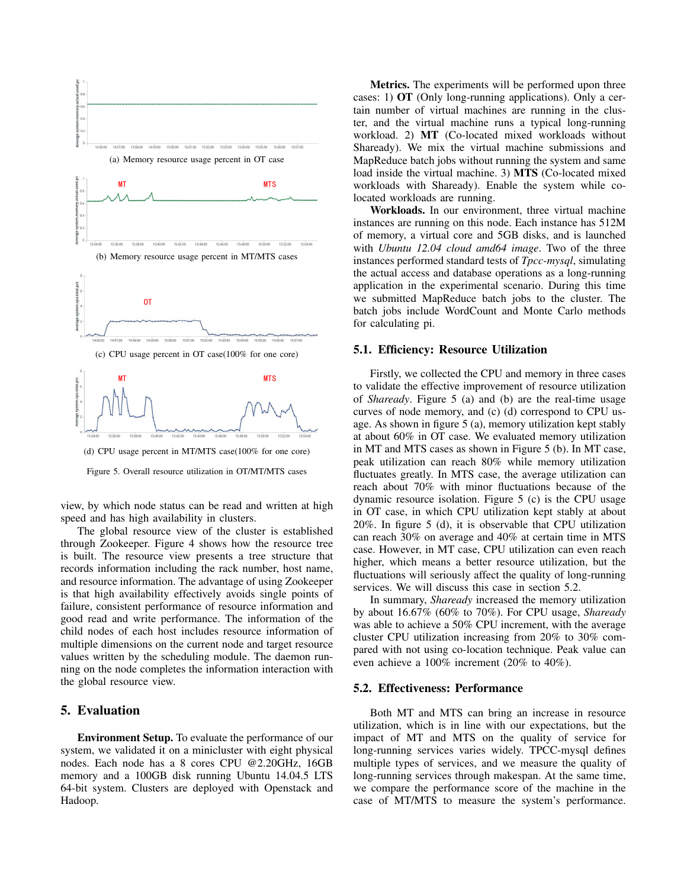

Figure 5. Overall resource utilization in OT/MT/MTS cases

view, by which node status can be read and written at high speed and has high availability in clusters.

The global resource view of the cluster is established through Zookeeper. Figure 4 shows how the resource tree is built. The resource view presents a tree structure that records information including the rack number, host name, and resource information. The advantage of using Zookeeper is that high availability effectively avoids single points of failure, consistent performance of resource information and good read and write performance. The information of the child nodes of each host includes resource information of multiple dimensions on the current node and target resource values written by the scheduling module. The daemon running on the node completes the information interaction with the global resource view.

## 5. Evaluation

Environment Setup. To evaluate the performance of our system, we validated it on a minicluster with eight physical nodes. Each node has a 8 cores CPU @2.20GHz, 16GB memory and a 100GB disk running Ubuntu 14.04.5 LTS 64-bit system. Clusters are deployed with Openstack and Hadoop.

Metrics. The experiments will be performed upon three cases: 1) OT (Only long-running applications). Only a certain number of virtual machines are running in the cluster, and the virtual machine runs a typical long-running workload. 2) MT (Co-located mixed workloads without Shaready). We mix the virtual machine submissions and MapReduce batch jobs without running the system and same load inside the virtual machine. 3) MTS (Co-located mixed workloads with Shaready). Enable the system while colocated workloads are running.

Workloads. In our environment, three virtual machine instances are running on this node. Each instance has 512M of memory, a virtual core and 5GB disks, and is launched with *Ubuntu 12.04 cloud amd64 image*. Two of the three instances performed standard tests of *Tpcc-mysql*, simulating the actual access and database operations as a long-running application in the experimental scenario. During this time we submitted MapReduce batch jobs to the cluster. The batch jobs include WordCount and Monte Carlo methods for calculating pi.

#### 5.1. Efficiency: Resource Utilization

Firstly, we collected the CPU and memory in three cases to validate the effective improvement of resource utilization of *Shaready*. Figure 5 (a) and (b) are the real-time usage curves of node memory, and (c) (d) correspond to CPU usage. As shown in figure 5 (a), memory utilization kept stably at about 60% in OT case. We evaluated memory utilization in MT and MTS cases as shown in Figure 5 (b). In MT case, peak utilization can reach 80% while memory utilization fluctuates greatly. In MTS case, the average utilization can reach about 70% with minor fluctuations because of the dynamic resource isolation. Figure 5 (c) is the CPU usage in OT case, in which CPU utilization kept stably at about 20%. In figure 5 (d), it is observable that CPU utilization can reach 30% on average and 40% at certain time in MTS case. However, in MT case, CPU utilization can even reach higher, which means a better resource utilization, but the fluctuations will seriously affect the quality of long-running services. We will discuss this case in section 5.2.

In summary, *Shaready* increased the memory utilization by about 16.67% (60% to 70%). For CPU usage, *Shaready* was able to achieve a 50% CPU increment, with the average cluster CPU utilization increasing from 20% to 30% compared with not using co-location technique. Peak value can even achieve a 100% increment (20% to 40%).

#### 5.2. Effectiveness: Performance

Both MT and MTS can bring an increase in resource utilization, which is in line with our expectations, but the impact of MT and MTS on the quality of service for long-running services varies widely. TPCC-mysql defines multiple types of services, and we measure the quality of long-running services through makespan. At the same time, we compare the performance score of the machine in the case of MT/MTS to measure the system's performance.